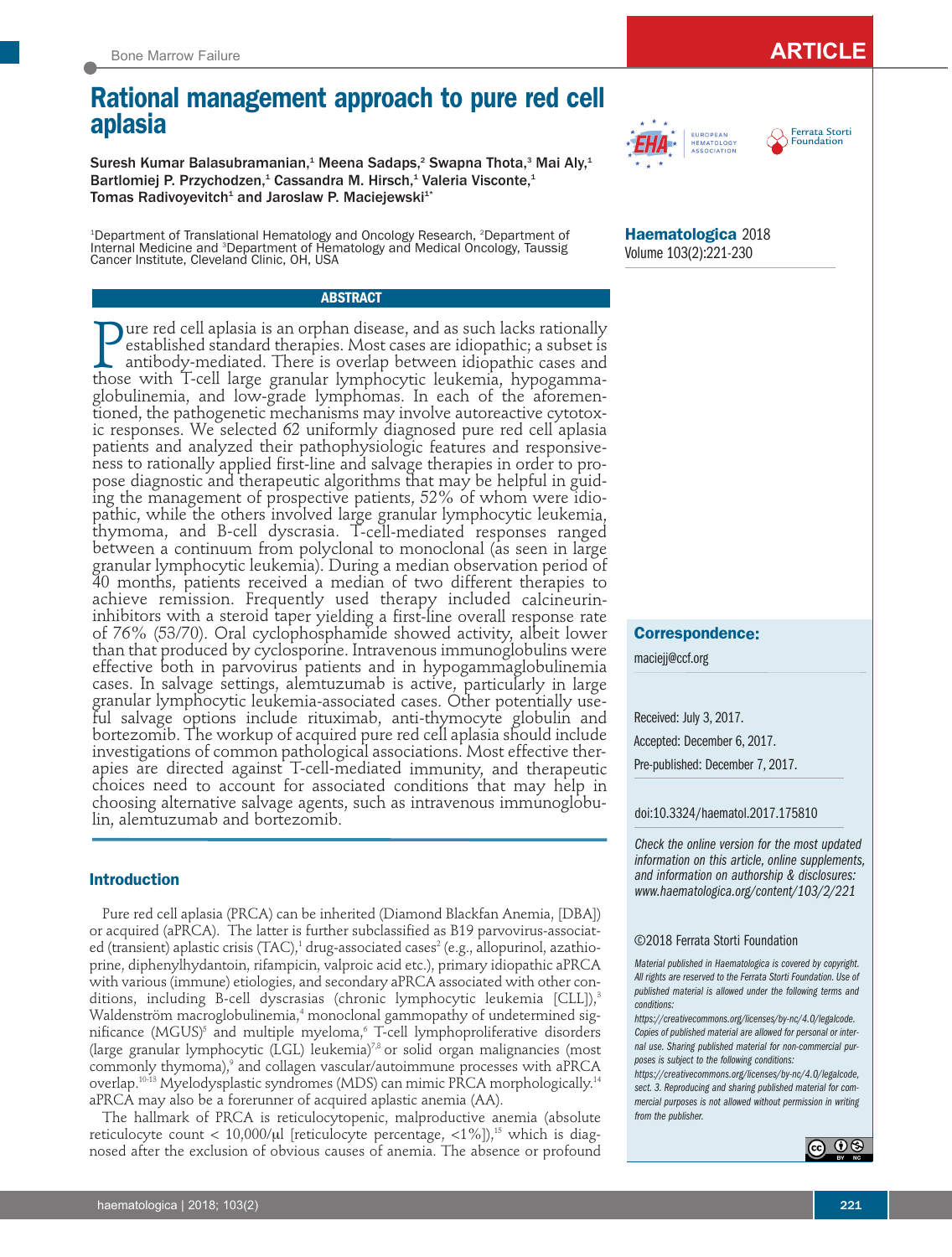# **Rational management approach to pure red cell aplasia**

Suresh Kumar Balasubramanian,<sup>1</sup> Meena Sadaps,<sup>2</sup> Swapna Thota,<sup>3</sup> Mai Aly,<sup>1</sup> Bartlomiej P. Przychodzen,<sup>1</sup> Cassandra M. Hirsch,<sup>1</sup> Valeria Visconte,<sup>1</sup> Tomas Radivoyevitch<sup>1</sup> and Jaroslaw P. Maciejewski<sup>1\*</sup>

<sup>1</sup>Department of Translational Hematology and Oncology Research, <sup>2</sup>Department of Internal Medicine and <sup>3</sup>Department of Hematology and Medical Oncology, Taussig Cancer Institute, Cleveland Clinic, OH, USA

## **ABSTRACT**

P ure red cell aplasia is an orphan disease, and as such lacks rationally established standard therapies. Most cases are idiopathic; a subset is antibody-mediated. There is overlap between idiopathic cases and those with T-cell large granular lymphocytic leukemia, hypogammaglobulinemia, and low-grade lymphomas. In each of the aforementioned, the pathogenetic mechanisms may involve autoreactive cytotoxic responses. We selected 62 uniformly diagnosed pure red cell aplasia patients and analyzed their pathophysiologic features and responsiveness to rationally applied first-line and salvage therapies in order to propose diagnostic and therapeutic algorithms that may be helpful in guiding the management of prospective patients, 52% of whom were idiopathic, while the others involved large granular lymphocytic leukemia, thymoma, and B-cell dyscrasia. T-cell-mediated responses ranged between a continuum from polyclonal to monoclonal (as seen in large granular lymphocytic leukemia). During a median observation period of 40 months, patients received a median of two different therapies to achieve remission. Frequently used therapy included calcineurininhibitors with a steroid taper yielding a first-line overall response rate of 76% (53/70). Oral cyclophosphamide showed activity, albeit lower than that produced by cyclosporine. Intravenous immunoglobulins were effective both in parvovirus patients and in hypogammaglobulinemia cases. In salvage settings, alemtuzumab is active, particularly in large granular lymphocytic leukemia-associated cases. Other potentially useful salvage options include rituximab, anti-thymocyte globulin and bortezomib. The workup of acquired pure red cell aplasia should include investigations of common pathological associations. Most effective therapies are directed against T-cell-mediated immunity, and therapeutic choices need to account for associated conditions that may help in choosing alternative salvage agents, such as intravenous immunoglobulin, alemtuzumab and bortezomib.

## **Introduction**

Pure red cell aplasia (PRCA) can be inherited (Diamond Blackfan Anemia, [DBA]) or acquired (aPRCA). The latter is further subclassified as B19 parvovirus-associated (transient) aplastic crisis (TAC),<sup>1</sup> drug-associated cases<sup>2</sup> (e.g., allopurinol, azathioprine, diphenylhydantoin, rifampicin, valproic acid etc.), primary idiopathic aPRCA with various (immune) etiologies, and secondary aPRCA associated with other conditions, including B-cell dyscrasias (chronic lymphocytic leukemia [CLL]),<sup>3</sup> Waldenström macroglobulinemia,<sup>4</sup> monoclonal gammopathy of undetermined significance (MGUS)<sup>5</sup> and multiple myeloma,<sup>6</sup> T-cell lymphoproliferative disorders (large granular lymphocytic (LGL) leukemia)7,8 or solid organ malignancies (most commonly thymoma),<sup>9</sup> and collagen vascular/autoimmune processes with aPRCA overlap.<sup>10-13</sup> Myelodysplastic syndromes (MDS) can mimic PRCA morphologically.<sup>14</sup> aPRCA may also be a forerunner of acquired aplastic anemia (AA).

The hallmark of PRCA is reticulocytopenic, malproductive anemia (absolute reticulocyte count < 10,000/ $\mu$  [reticulocyte percentage, <1%]),<sup>15</sup> which is diagnosed after the exclusion of obvious causes of anemia. The absence or profound

**Haematologica** 2018

EUROPEAN<br>HEMATOLOGY<br>ASSOCIATION

Volume 103(2):221-230

## **Correspondence:**

maciejj@ccf.org

Received: July 3, 2017. Accepted: December 6, 2017.

Pre-published: December 7, 2017.

doi:10.3324/haematol.2017.175810

*Check the online version for the most updated information on this article, online supplements, and information on authorship & disclosures: www.haematologica.org/content/103/2/221*

#### ©2018 Ferrata Storti Foundation

*Material published in Haematologica is covered by copyright. All rights are reserved to the Ferrata Storti Foundation. Use of published material is allowed under the following terms and conditions:* 

*https://creativecommons.org/licenses/by-nc/4.0/legalcode. Copies of published material are allowed for personal or internal use. Sharing published material for non-commercial purposes is subject to the following conditions:* 

*https://creativecommons.org/licenses/by-nc/4.0/legalcode, sect. 3. Reproducing and sharing published material for commercial purposes is not allowed without permission in writing from the publisher.*



Ferrata Storti r emata 5to<br>Foundation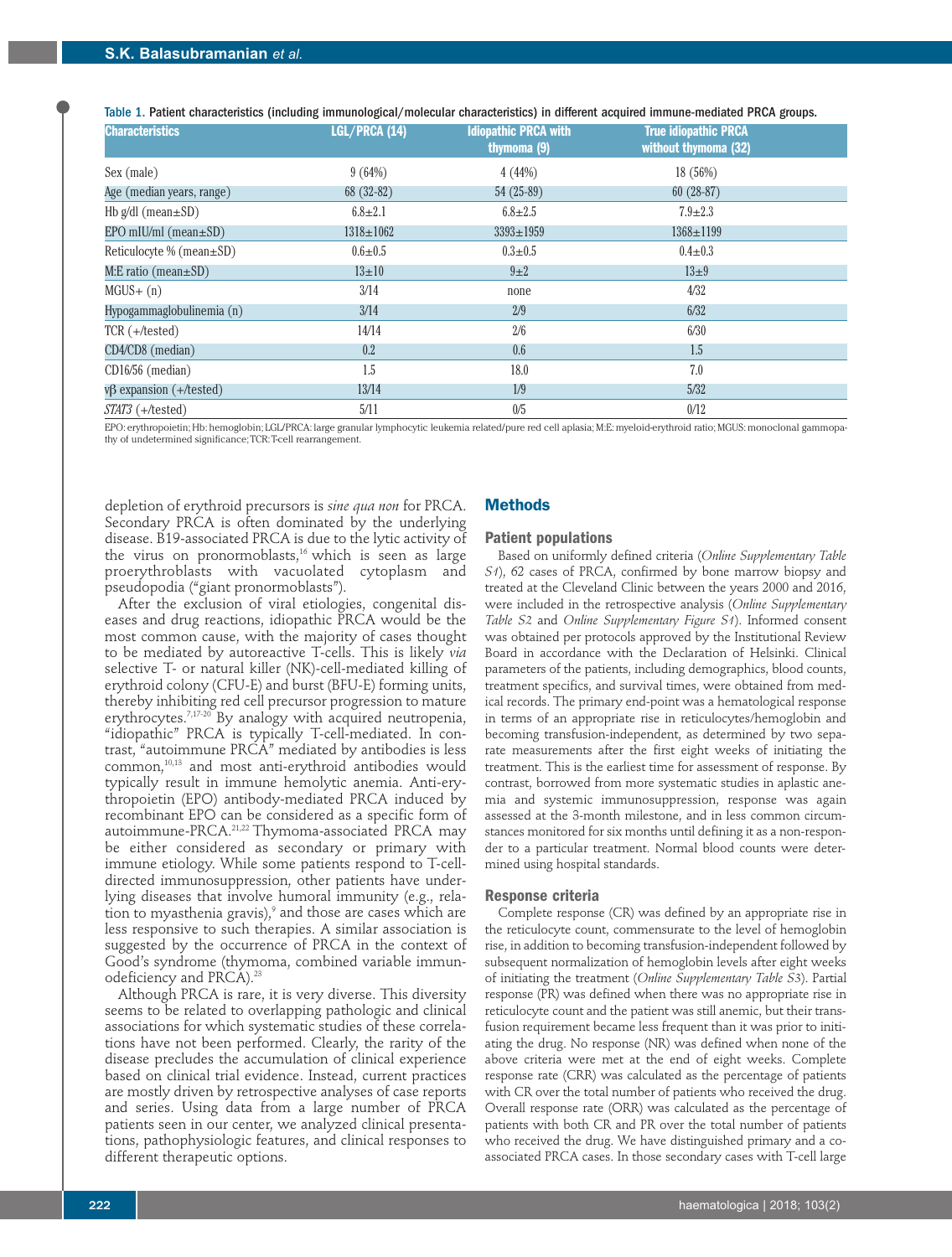Table 1. Patient characteristics (including immunological/molecular characteristics) in different acquired immune-mediated PRCA groups.

| <b>Characteristics</b>         | LGL/PRCA (14)   | <b>Idiopathic PRCA with</b><br>thymoma (9) | <b>True idiopathic PRCA</b><br>without thymoma (32) |
|--------------------------------|-----------------|--------------------------------------------|-----------------------------------------------------|
| Sex (male)                     | 9(64%)          | 4(44%)                                     | 18(56%)                                             |
| Age (median years, range)      | 68 (32-82)      | $54(25-89)$                                | $60(28-87)$                                         |
| Hb $g/dl$ (mean $\pm SD$ )     | $6.8 \pm 2.1$   | $6.8 \pm 2.5$                              | $7.9 \pm 2.3$                                       |
| $EPO$ mIU/mI (mean $\pm SD$ )  | $1318 \pm 1062$ | $3393 \pm 1959$                            | $1368 \pm 1199$                                     |
| Reticulocyte % (mean $\pm$ SD) | $0.6 + 0.5$     | $0.3 \pm 0.5$                              | $0.4 \pm 0.3$                                       |
| $M: E$ ratio (mean $\pm SD$ )  | $13 \pm 10$     | $9\pm2$                                    | $13\pm9$                                            |
| $MGUS+ (n)$                    | 3/14            | none                                       | 4/32                                                |
| Hypogammaglobulinemia (n)      | 3/14            | 2/9                                        | 6/32                                                |
| $TCR (+/tested)$               | 14/14           | 2/6                                        | 6/30                                                |
| CD4/CD8 (median)               | 0.2             | 0.6                                        | 1.5                                                 |
| $CD16/56$ (median)             | 1.5             | 18.0                                       | 7.0                                                 |
| $v\beta$ expansion (+/tested)  | 13/14           | 1/9                                        | 5/32                                                |
| $STAT3 (+/tested)$             | 5/11            | 0/5                                        | 0/12                                                |

EPO: erythropoietin; Hb: hemoglobin; LGL/PRCA: large granular lymphocytic leukemia related/pure red cell aplasia; M:E: myeloid-erythroid ratio; MGUS: monoclonal gammopathy of undetermined significance; TCR: T-cell rearrangement.

depletion of erythroid precursors is *sine qua non* for PRCA. Secondary PRCA is often dominated by the underlying disease. B19-associated PRCA is due to the lytic activity of the virus on pronormoblasts,<sup>16</sup> which is seen as large proerythroblasts with vacuolated cytoplasm and pseudopodia ("giant pronormoblasts").

After the exclusion of viral etiologies, congenital diseases and drug reactions, idiopathic PRCA would be the most common cause, with the majority of cases thought to be mediated by autoreactive T-cells. This is likely *via* selective T- or natural killer (NK)-cell-mediated killing of erythroid colony (CFU-E) and burst (BFU-E) forming units, thereby inhibiting red cell precursor progression to mature erythrocytes.<sup>7,17-20</sup> By analogy with acquired neutropenia, "idiopathic" PRCA is typically T-cell-mediated. In contrast, "autoimmune PRCA" mediated by antibodies is less common,10,13 and most anti-erythroid antibodies would typically result in immune hemolytic anemia. Anti-erythropoietin (EPO) antibody-mediated PRCA induced by recombinant EPO can be considered as a specific form of autoimmune-PRCA.21,22 Thymoma-associated PRCA may be either considered as secondary or primary with immune etiology. While some patients respond to T-celldirected immunosuppression, other patients have underlying diseases that involve humoral immunity (e.g., relation to myasthenia gravis), $9$  and those are cases which are less responsive to such therapies. A similar association is suggested by the occurrence of PRCA in the context of Good's syndrome (thymoma, combined variable immunodeficiency and PRCA).<sup>23</sup>

Although PRCA is rare, it is very diverse. This diversity seems to be related to overlapping pathologic and clinical associations for which systematic studies of these correlations have not been performed. Clearly, the rarity of the disease precludes the accumulation of clinical experience based on clinical trial evidence. Instead, current practices are mostly driven by retrospective analyses of case reports and series. Using data from a large number of PRCA patients seen in our center, we analyzed clinical presentations, pathophysiologic features, and clinical responses to different therapeutic options.

## **Methods**

### **Patient populations**

Based on uniformly defined criteria (*Online Supplementary Table S1*), 62 cases of PRCA, confirmed by bone marrow biopsy and treated at the Cleveland Clinic between the years 2000 and 2016, were included in the retrospective analysis (*Online Supplementary Table S2* and *Online Supplementary Figure S1*). Informed consent was obtained per protocols approved by the Institutional Review Board in accordance with the Declaration of Helsinki. Clinical parameters of the patients, including demographics, blood counts, treatment specifics, and survival times, were obtained from medical records. The primary end-point was a hematological response in terms of an appropriate rise in reticulocytes/hemoglobin and becoming transfusion-independent, as determined by two separate measurements after the first eight weeks of initiating the treatment. This is the earliest time for assessment of response. By contrast, borrowed from more systematic studies in aplastic anemia and systemic immunosuppression, response was again assessed at the 3-month milestone, and in less common circumstances monitored for six months until defining it as a non-responder to a particular treatment. Normal blood counts were determined using hospital standards.

#### **Response criteria**

Complete response (CR) was defined by an appropriate rise in the reticulocyte count, commensurate to the level of hemoglobin rise, in addition to becoming transfusion-independent followed by subsequent normalization of hemoglobin levels after eight weeks of initiating the treatment (*Online Supplementary Table S3*). Partial response (PR) was defined when there was no appropriate rise in reticulocyte count and the patient was still anemic, but their transfusion requirement became less frequent than it was prior to initiating the drug. No response (NR) was defined when none of the above criteria were met at the end of eight weeks. Complete response rate (CRR) was calculated as the percentage of patients with CR over the total number of patients who received the drug. Overall response rate (ORR) was calculated as the percentage of patients with both CR and PR over the total number of patients who received the drug. We have distinguished primary and a coassociated PRCA cases. In those secondary cases with T-cell large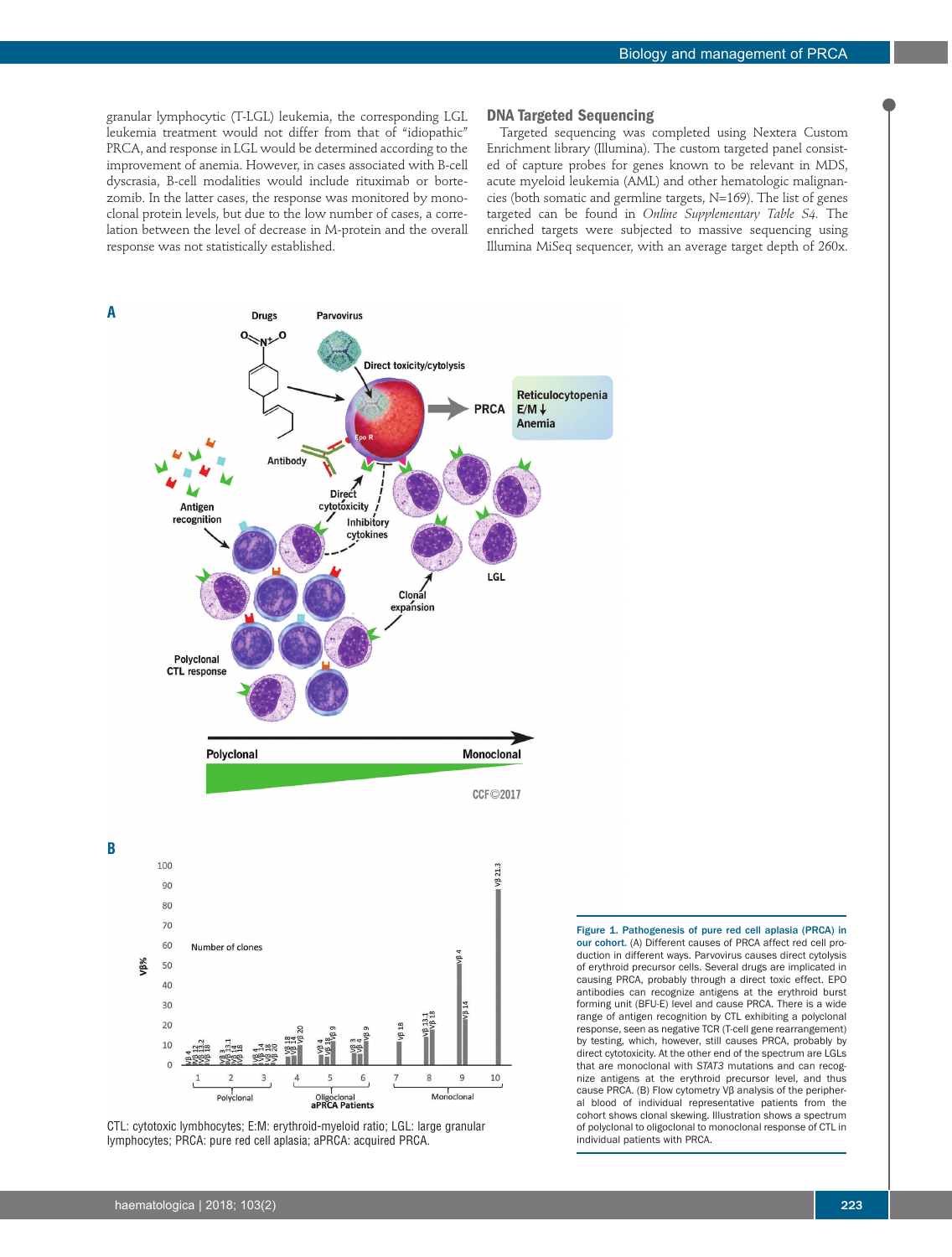granular lymphocytic (T-LGL) leukemia, the corresponding LGL leukemia treatment would not differ from that of "idiopathic" PRCA, and response in LGL would be determined according to the improvement of anemia. However, in cases associated with B-cell dyscrasia, B-cell modalities would include rituximab or bortezomib. In the latter cases, the response was monitored by monoclonal protein levels, but due to the low number of cases, a correlation between the level of decrease in M-protein and the overall response was not statistically established.

#### **DNA Targeted Sequencing**

Targeted sequencing was completed using Nextera Custom Enrichment library (Illumina). The custom targeted panel consisted of capture probes for genes known to be relevant in MDS, acute myeloid leukemia (AML) and other hematologic malignancies (both somatic and germline targets, N=169). The list of genes targeted can be found in *Online Supplementary Table S4.* The enriched targets were subjected to massive sequencing using Illumina MiSeq sequencer, with an average target depth of 260x.



CTL: cytotoxic lymbhocytes; E:M: erythroid-myeloid ratio; LGL: large granular lymphocytes; PRCA: pure red cell aplasia; aPRCA: acquired PRCA.

Figure 1. Pathogenesis of pure red cell aplasia (PRCA) in our cohort. (A) Different causes of PRCA affect red cell production in different ways. Parvovirus causes direct cytolysis of erythroid precursor cells. Several drugs are implicated in causing PRCA, probably through a direct toxic effect. EPO antibodies can recognize antigens at the erythroid burst forming unit (BFU-E) level and cause PRCA. There is a wide range of antigen recognition by CTL exhibiting a polyclonal response, seen as negative TCR (T-cell gene rearrangement) by testing, which, however, still causes PRCA, probably by direct cytotoxicity. At the other end of the spectrum are LGLs that are monoclonal with *STAT3* mutations and can recognize antigens at the erythroid precursor level, and thus cause PRCA. (B) Flow cytometry Vβ analysis of the peripheral blood of individual representative patients from the cohort shows clonal skewing. Illustration shows a spectrum of polyclonal to oligoclonal to monoclonal response of CTL in individual patients with PRCA.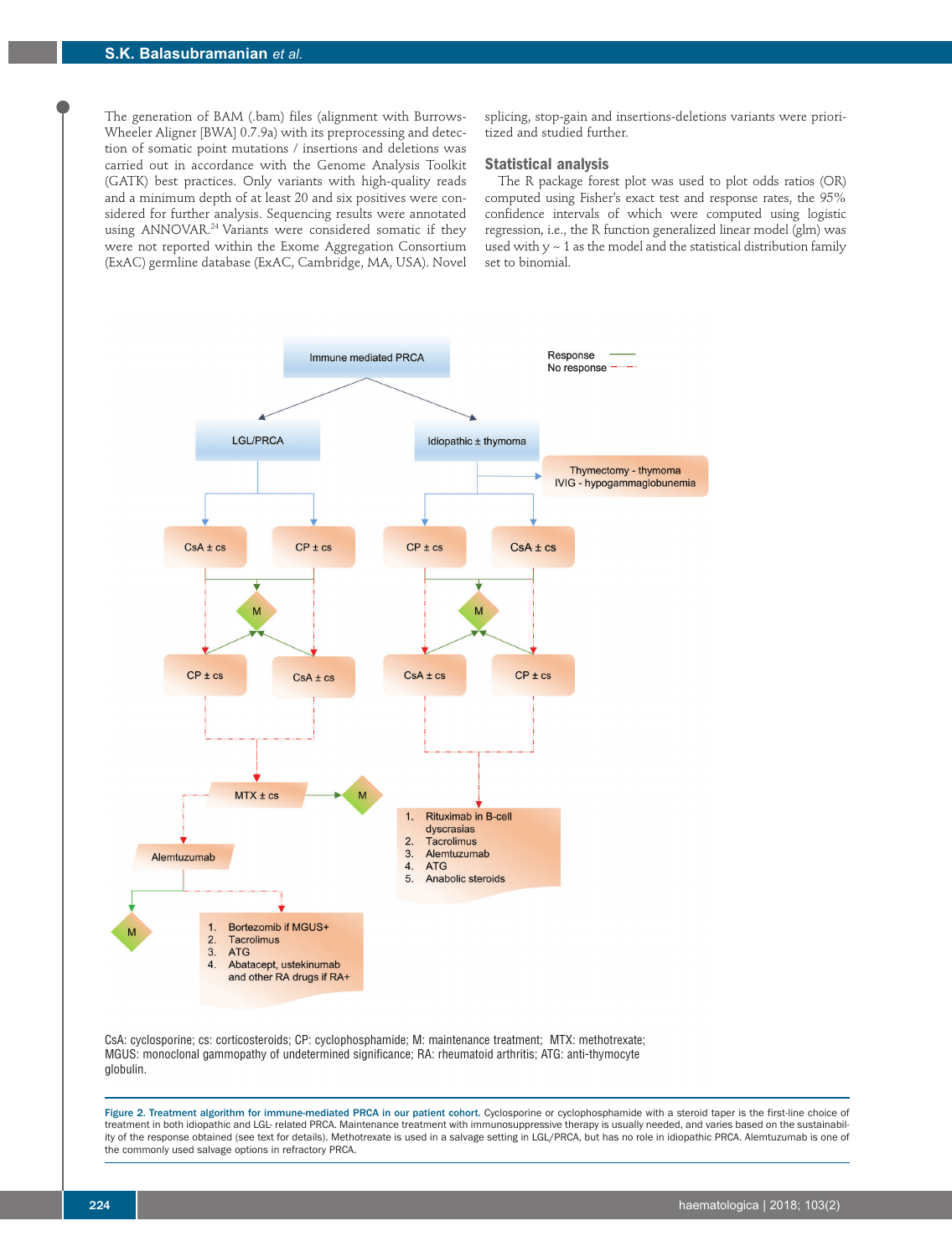The generation of BAM (.bam) files (alignment with Burrows-Wheeler Aligner [BWA] 0.7.9a) with its preprocessing and detection of somatic point mutations / insertions and deletions was carried out in accordance with the Genome Analysis Toolkit (GATK) best practices. Only variants with high-quality reads and a minimum depth of at least 20 and six positives were considered for further analysis. Sequencing results were annotated using ANNOVAR.<sup>24</sup> Variants were considered somatic if they were not reported within the Exome Aggregation Consortium (ExAC) germline database (ExAC, Cambridge, MA, USA). Novel splicing, stop-gain and insertions-deletions variants were prioritized and studied further.

#### **Statistical analysis**

The R package forest plot was used to plot odds ratios (OR) computed using Fisher's exact test and response rates, the 95% confidence intervals of which were computed using logistic regression, i.e., the R function generalized linear model (glm) was used with  $y \sim 1$  as the model and the statistical distribution family set to binomial.



CsA: cyclosporine; cs: corticosteroids; CP: cyclophosphamide; M: maintenance treatment; MTX: methotrexate; MGUS: monoclonal gammopathy of undetermined significance; RA: rheumatoid arthritis; ATG: anti-thymocyte globulin.

Figure 2. Treatment algorithm for immune-mediated PRCA in our patient cohort. Cyclosporine or cyclophosphamide with a steroid taper is the first-line choice of treatment in both idiopathic and LGL- related PRCA. Maintenance treatment with immunosuppressive therapy is usually needed, and varies based on the sustainability of the response obtained (see text for details). Methotrexate is used in a salvage setting in LGL/PRCA, but has no role in idiopathic PRCA. Alemtuzumab is one of the commonly used salvage options in refractory PRCA.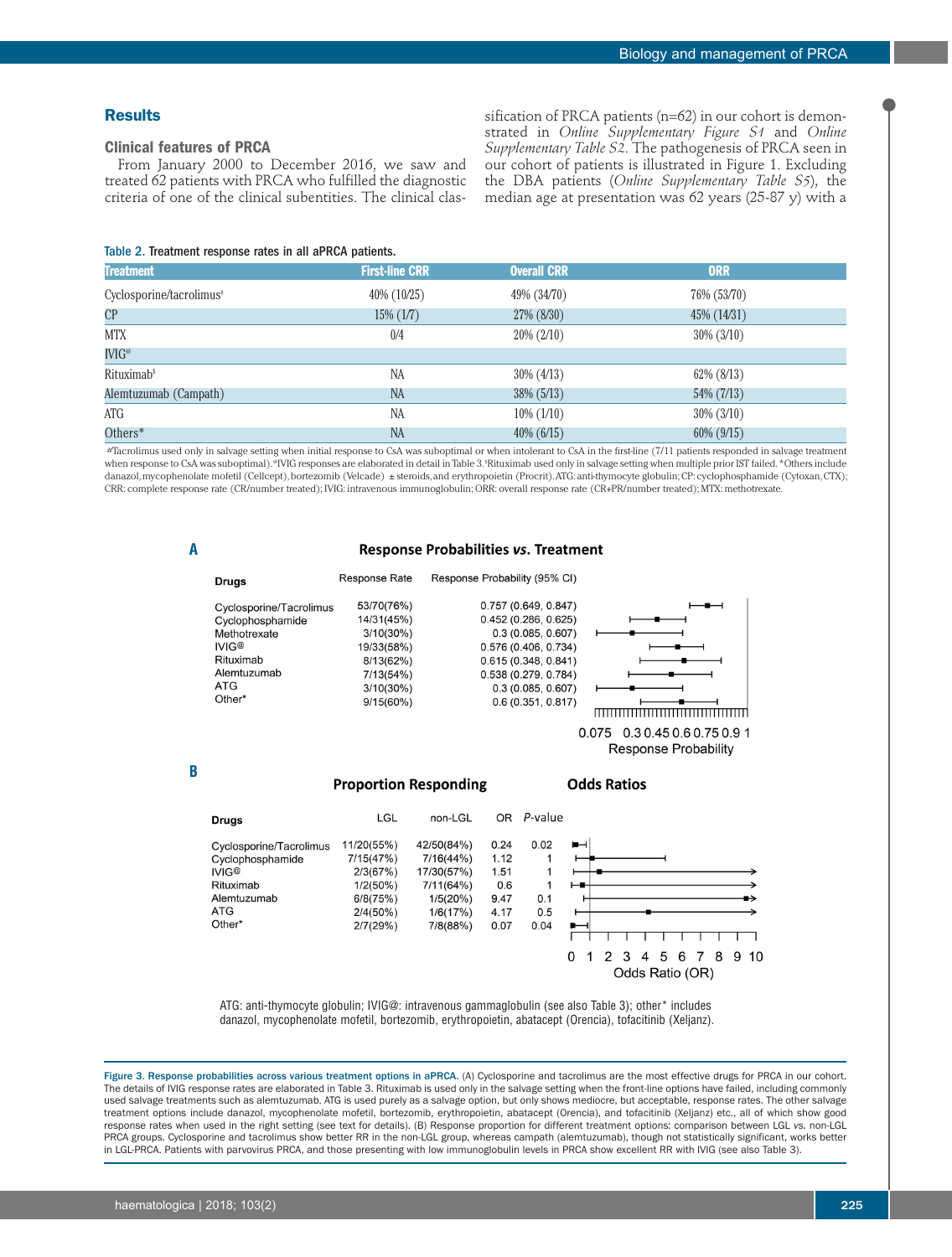## **Results**

## **Clinical features of PRCA**

From January 2000 to December 2016, we saw and treated 62 patients with PRCA who fulfilled the diagnostic criteria of one of the clinical subentities. The clinical classification of PRCA patients (n=62) in our cohort is demonstrated in *Online Supplementary Figure S1* and *Online Supplementary Table S2*. The pathogenesis of PRCA seen in our cohort of patients is illustrated in Figure 1. Excluding the DBA patients (*Online Supplementary Table S5*), the median age at presentation was 62 years (25-87 y) with a

#### Table 2. Treatment response rates in all aPRCA patients.

| <b>Treatment</b>                     | <b>First-line CRR</b> | <b>Overall CRR</b> | <b>ORR</b>        |  |
|--------------------------------------|-----------------------|--------------------|-------------------|--|
| Cyclosporine/tacrolimus <sup>*</sup> | 40% (10/25)           | 49% (34/70)        | 76% (53/70)       |  |
| CP                                   | $15\%$ $(1/7)$        | 27% (8/30)         | 45% (14/31)       |  |
| <b>MTX</b>                           | 0/4                   | $20\% (2/10)$      | $30\% (3/10)$     |  |
| $\mathbb{N} \mathbb{G}^{\omega}$     |                       |                    |                   |  |
| Rituximab <sup>\$</sup>              | <b>NA</b>             | $30\% (4/13)$      | $62\%$ (8/13)     |  |
| Alemtuzumab (Campath)                | <b>NA</b>             | $38\%$ (5/13)      | 54% (7/13)        |  |
| ATG                                  | <b>NA</b>             | $10\%$ (1/10)      | $30\% (3/10)$     |  |
| Others*                              | <b>NA</b>             | $40\%$ (6/15)      | $60\%$ ( $9/15$ ) |  |

#Tacrolimus used only in salvage setting when initial response to CsA was suboptimal or when intolerant to CsA in the first-line (7/11 patients responded in salvage treatment when response to CsA was suboptimal). "IVIG responses are elaborated in detail in Table 3. \*Rituximab used only in salvage setting when multiple prior IST failed. \*Others include danazol, mycophenolate mofetil (Cellcept), bortezomib (Velcade) ± steroids, and erythropoietin (Procrit). ATG: anti-thymocyte globulin; CP: cyclophosphamide (Cytoxan, CTX); CRR: complete response rate (CR/number treated); IVIG: intravenous immunoglobulin; ORR: overall response rate (CR+PR/number treated); MTX: methotrexate.

#### **Response Probabilities vs. Treatment**

| <b>Drugs</b>                                                                                                             | <b>Response Rate</b>                                                                                             | Response Probability (95% CI)                                                                                                                                                   |                                                          |
|--------------------------------------------------------------------------------------------------------------------------|------------------------------------------------------------------------------------------------------------------|---------------------------------------------------------------------------------------------------------------------------------------------------------------------------------|----------------------------------------------------------|
| Cyclosporine/Tacrolimus<br>Cyclophosphamide<br>Methotrexate<br>IVIG@<br>Rituximab<br>Alemtuzumab<br><b>ATG</b><br>Other* | 53/70(76%)<br>14/31(45%)<br>$3/10(30\%)$<br>19/33(58%)<br>8/13(62%)<br>7/13(54%)<br>$3/10(30\%)$<br>$9/15(60\%)$ | 0.757(0.649, 0.847)<br>0.452(0.286, 0.625)<br>0.3(0.085, 0.607)<br>0.576 (0.406, 0.734)<br>0.615(0.348, 0.841)<br>0.538(0.279, 0.784)<br>0.3(0.085, 0.607)<br>0.6(0.351, 0.817) |                                                          |
|                                                                                                                          |                                                                                                                  |                                                                                                                                                                                 | $\sim$ $\sim$ $\sim$<br>$\begin{array}{c} \n\end{array}$ |

0.075 0.3 0.45 0.6 0.75 0.9 1 **Response Probability** 

**B**

**A**

## **Proportion Responding**

**Odds Ratios** 

| <b>Drugs</b>                                | LGL                     | non-LGL                 | OR.          | P-value   |                          |               |                 |                |   |   |   |   |   |     |
|---------------------------------------------|-------------------------|-------------------------|--------------|-----------|--------------------------|---------------|-----------------|----------------|---|---|---|---|---|-----|
| Cyclosporine/Tacrolimus<br>Cyclophosphamide | 11/20(55%)<br>7/15(47%) | 42/50(84%)<br>7/16(44%) | 0.24<br>1.12 | 0.02<br>1 | $\blacksquare$           |               |                 |                |   |   |   |   |   |     |
| IVIG@                                       | 2/3(67%)                | 17/30(57%)              | 1.51         |           |                          |               |                 |                |   |   |   |   |   |     |
| Rituximab                                   | 1/2(50%)                | 7/11(64%)               | 0.6          |           | ⊷                        |               |                 |                |   |   |   |   |   |     |
| Alemtuzumab                                 | 6/8(75%)                | 1/5(20%)                | 9.47         | 0.1       |                          |               |                 |                |   |   |   |   |   |     |
| ATG                                         | 2/4(50%)                | 1/6(17%)                | 4.17         | 0.5       |                          |               |                 |                |   |   |   |   |   |     |
| Other*                                      | 2/7(29%)                | 7/8(88%)                | 0.07         | 0.04      | $\overline{\phantom{a}}$ |               |                 |                |   |   |   |   |   |     |
|                                             |                         |                         |              |           |                          |               |                 |                |   |   |   |   |   |     |
|                                             |                         |                         |              |           |                          | $\mathcal{P}$ | 3               | $\overline{4}$ | 5 | 6 | 7 | 8 | 9 | -10 |
|                                             |                         |                         |              |           |                          |               | Odds Ratio (OR) |                |   |   |   |   |   |     |

ATG: anti-thymocyte globulin; IVIG@: intravenous gammaglobulin (see also Table 3); other\* includes danazol, mycophenolate mofetil, bortezomib, erythropoietin, abatacept (Orencia), tofacitinib (Xeljanz).

Figure 3. Response probabilities across various treatment options in aPRCA. (A) Cyclosporine and tacrolimus are the most effective drugs for PRCA in our cohort. The details of IVIG response rates are elaborated in Table 3. Rituximab is used only in the salvage setting when the front-line options have failed, including commonly used salvage treatments such as alemtuzumab. ATG is used purely as a salvage option, but only shows mediocre, but acceptable, response rates. The other salvage treatment options include danazol, mycophenolate mofetil, bortezomib, erythropoietin, abatacept (Orencia), and tofacitinib (Xeljanz) etc., all of which show good response rates when used in the right setting (see text for details). (B) Response proportion for different treatment options: comparison between LGL *vs.* non-LGL PRCA groups. Cyclosporine and tacrolimus show better RR in the non-LGL group, whereas campath (alemtuzumab), though not statistically significant, works better<br>in LGL-PRCA. Patients with parvovirus PRCA, and those presenti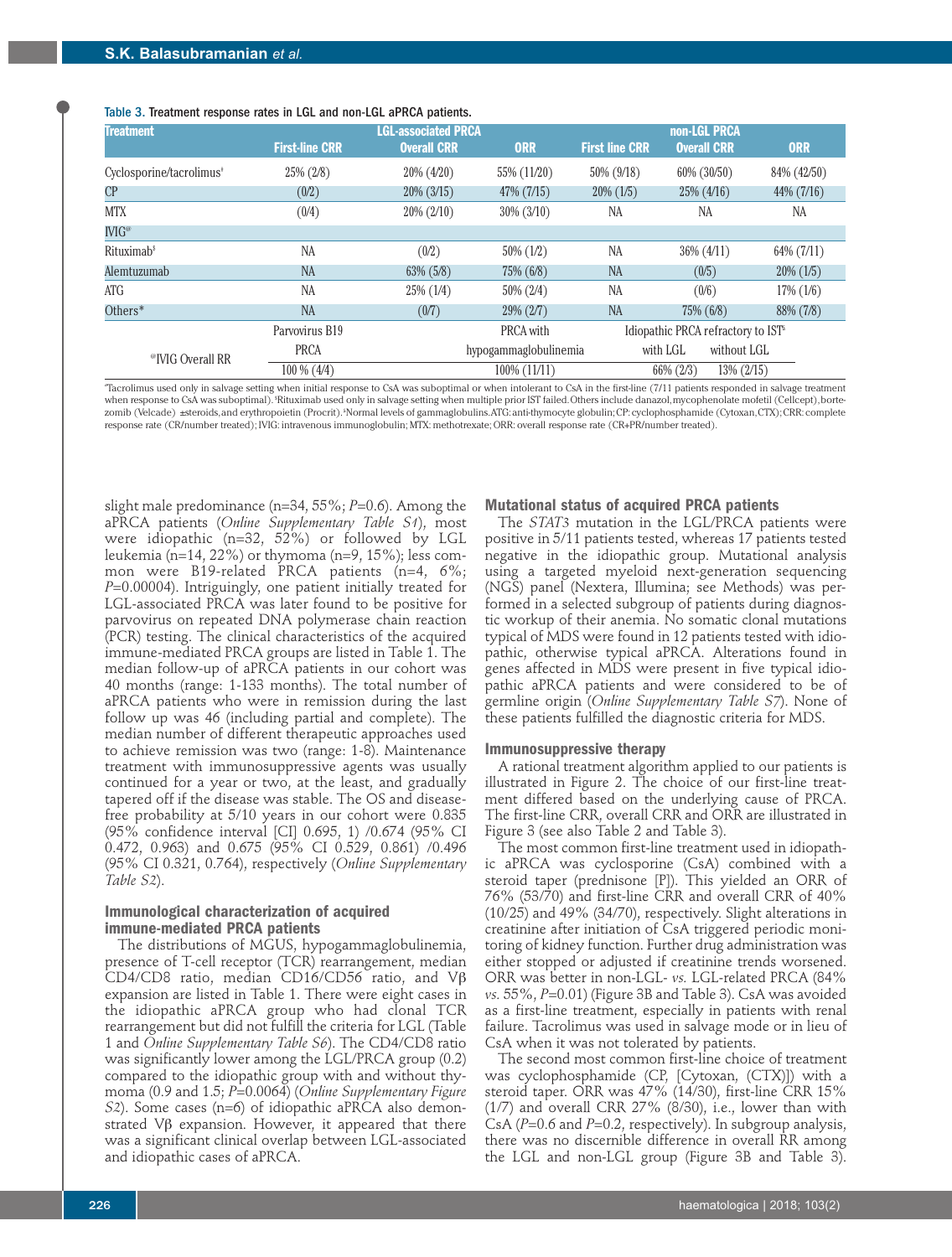| Table 3. Treatment response rates in LGL and non-LGL aPRCA patients. |  |
|----------------------------------------------------------------------|--|
|----------------------------------------------------------------------|--|

| <b>Treatment</b>                     | <b>First-line CRR</b> | <b>LGL-associated PRCA</b><br><b>Overall CRR</b> | <b>ORR</b>            | <b>First line CRR</b> | non-LGL PRCA<br><b>Overall CRR</b>           | <b>ORR</b>   |
|--------------------------------------|-----------------------|--------------------------------------------------|-----------------------|-----------------------|----------------------------------------------|--------------|
|                                      |                       |                                                  |                       |                       |                                              |              |
| Cyclosporine/tacrolimus <sup>®</sup> | 25% (2/8)             | $20\% (4/20)$                                    | 55% (11/20)           | 50% (9/18)            | 60% (30/50)                                  | 84% (42/50)  |
| CP                                   | (0/2)                 | $20\%$ (3/15)                                    | 47% (7/15)            | $20\%$ (1/5)          | $25\%$ (4/16)                                | 44% (7/16)   |
| <b>MTX</b>                           | (0/4)                 | $20\% (2/10)$                                    | $30\%$ (3/10)         | NA                    | NA                                           | NA           |
| $\mathbb{NIG}^{\omega}$              |                       |                                                  |                       |                       |                                              |              |
| Rituximab <sup>\$</sup>              | NA                    | (0/2)                                            | $50\%$ (1/2)          | <b>NA</b>             | $36\%$ (4/11)                                | 64% (7/11)   |
| Alemtuzumab                          | <b>NA</b>             | $63\%$ $(5/8)$                                   | 75% (6/8)             | <b>NA</b>             | (0/5)                                        | $20\%$ (1/5) |
| ATG                                  | <b>NA</b>             | $25\%$ (1/4)                                     | $50\% (2/4)$          | <b>NA</b>             | (0/6)                                        | $17\%$ (1/6) |
| Others*                              | <b>NA</b>             | (0/7)                                            | 29% (2/7)             | <b>NA</b>             | 75% (6/8)                                    | 88% (7/8)    |
|                                      | Parvovirus B19        |                                                  | PRCA with             |                       | Idiopathic PRCA refractory to $IST^{\simeq}$ |              |
| <sup>@</sup> IVIG Overall RR         | <b>PRCA</b>           |                                                  | hypogammaglobulinemia |                       | without LGL<br>with LGL                      |              |
|                                      | $100\%$ (4/4)         |                                                  | $100\%$ $(11/11)$     |                       | 13% (2/15)<br>66% (2/3)                      |              |

# Tacrolimus used only in salvage setting when initial response to CsA was suboptimal or when intolerant to CsA in the first-line (7/11 patients responded in salvage treatment when response to CsA was suboptimal). <sup>s</sup>Rituximab used only in salvage setting when multiple prior IST failed.Others include danazol, mycophenolate mofetil (Cellcept), bortezomib (Velcade) ±steroids, and erythropoietin (Procrit). £ Normal levels of gammaglobulins. ATG: anti-thymocyte globulin; CP: cyclophosphamide (Cytoxan, CTX); CRR: complete response rate (CR/number treated); IVIG: intravenous immunoglobulin; MTX: methotrexate; ORR: overall response rate (CR+PR/number treated).

slight male predominance (n=34, 55%; *P*=0.6). Among the aPRCA patients (*Online Supplementary Table S1*), most were idiopathic (n=32, 52%) or followed by LGL leukemia (n=14, 22%) or thymoma (n=9, 15%); less common were B19-related PRCA patients (n=4, 6%; *P*=0.00004). Intriguingly, one patient initially treated for LGL-associated PRCA was later found to be positive for parvovirus on repeated DNA polymerase chain reaction (PCR) testing. The clinical characteristics of the acquired immune-mediated PRCA groups are listed in Table 1. The median follow-up of aPRCA patients in our cohort was 40 months (range: 1-133 months). The total number of aPRCA patients who were in remission during the last follow up was 46 (including partial and complete). The median number of different therapeutic approaches used to achieve remission was two (range: 1-8). Maintenance treatment with immunosuppressive agents was usually continued for a year or two, at the least, and gradually tapered off if the disease was stable. The OS and diseasefree probability at 5/10 years in our cohort were 0.835 (95% confidence interval [CI] 0.695, 1) /0.674 (95% CI 0.472, 0.963) and 0.675 (95% CI 0.529, 0.861) /0.496 (95% CI 0.321, 0.764), respectively (*Online Supplementary Table S2*).

## **Immunological characterization of acquired immune-mediated PRCA patients**

The distributions of MGUS, hypogammaglobulinemia, presence of T-cell receptor (TCR) rearrangement, median CD4/CD8 ratio, median CD16/CD56 ratio, and Vβ expansion are listed in Table 1. There were eight cases in the idiopathic aPRCA group who had clonal TCR rearrangement but did not fulfill the criteria for LGL (Table 1 and *Online Supplementary Table S6*). The CD4/CD8 ratio was significantly lower among the LGL/PRCA group (0.2) compared to the idiopathic group with and without thymoma (0.9 and 1.5; *P*=0.0064) (*Online Supplementary Figure S2*). Some cases (n=6) of idiopathic aPRCA also demonstrated Vβ expansion. However, it appeared that there was a significant clinical overlap between LGL-associated and idiopathic cases of aPRCA.

#### **Mutational status of acquired PRCA patients**

The *STAT3* mutation in the LGL/PRCA patients were positive in 5/11 patients tested, whereas 17 patients tested negative in the idiopathic group. Mutational analysis using a targeted myeloid next-generation sequencing (NGS) panel (Nextera, Illumina; see Methods) was performed in a selected subgroup of patients during diagnostic workup of their anemia. No somatic clonal mutations typical of MDS were found in 12 patients tested with idiopathic, otherwise typical aPRCA. Alterations found in genes affected in MDS were present in five typical idiopathic aPRCA patients and were considered to be of germline origin (*Online Supplementary Table S7*). None of these patients fulfilled the diagnostic criteria for MDS.

#### **Immunosuppressive therapy**

A rational treatment algorithm applied to our patients is illustrated in Figure 2. The choice of our first-line treatment differed based on the underlying cause of PRCA. The first-line CRR, overall CRR and ORR are illustrated in Figure 3 (see also Table 2 and Table 3).

The most common first-line treatment used in idiopathic aPRCA was cyclosporine (CsA) combined with a steroid taper (prednisone [P]). This yielded an ORR of 76% (53/70) and first-line CRR and overall CRR of 40% (10/25) and 49% (34/70), respectively. Slight alterations in creatinine after initiation of CsA triggered periodic monitoring of kidney function. Further drug administration was either stopped or adjusted if creatinine trends worsened. ORR was better in non-LGL- *vs.* LGL-related PRCA (84% *vs.* 55%, *P*=0.01) (Figure 3B and Table 3). CsA was avoided as a first-line treatment, especially in patients with renal failure. Tacrolimus was used in salvage mode or in lieu of CsA when it was not tolerated by patients.

The second most common first-line choice of treatment was cyclophosphamide (CP, [Cytoxan, (CTX)]) with a steroid taper. ORR was 47% (14/30), first-line CRR 15% (1/7) and overall CRR 27% (8/30), i.e., lower than with CsA (*P*=0.6 and *P*=0.2, respectively). In subgroup analysis, there was no discernible difference in overall RR among the LGL and non-LGL group (Figure 3B and Table 3).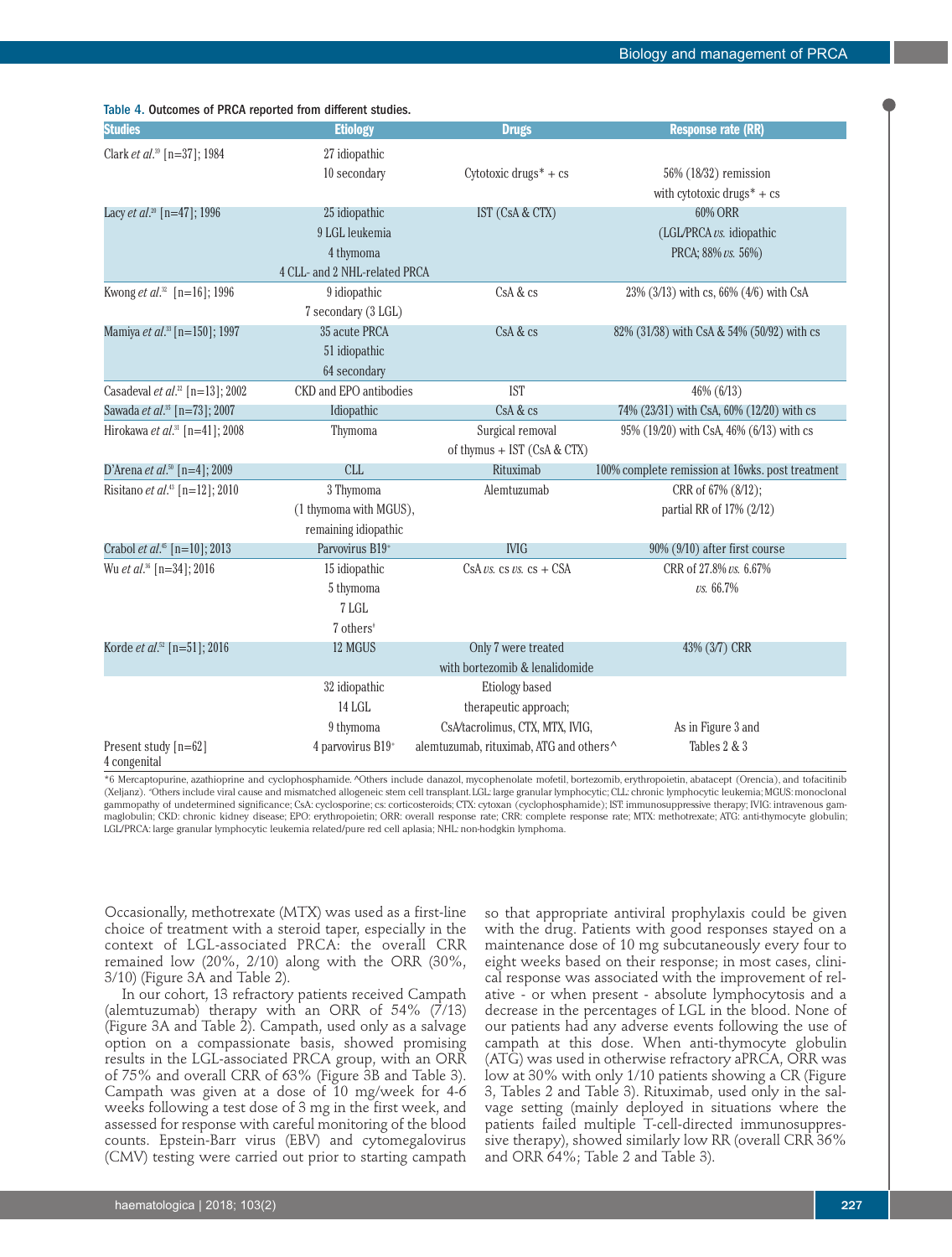| <b>Studies</b>                                  | <b>Etiology</b>               | <b>Drugs</b>                                                        | <b>Response rate (RR)</b>                        |
|-------------------------------------------------|-------------------------------|---------------------------------------------------------------------|--------------------------------------------------|
| Clark et al. <sup>39</sup> [n=37]; 1984         | 27 idiopathic                 |                                                                     |                                                  |
|                                                 | 10 secondary                  | Cytotoxic drugs <sup>*</sup> + cs                                   | 56% (18/32) remission                            |
|                                                 |                               |                                                                     | with cytotoxic drugs $* + cs$                    |
| Lacy et al. <sup>20</sup> [n=47]; 1996          | 25 idiopathic                 | IST (CsA & CTX)                                                     | <b>60% ORR</b>                                   |
|                                                 | 9 LGL leukemia                |                                                                     | (LGL/PRCA vs. idiopathic                         |
|                                                 | 4 thymoma                     |                                                                     | PRCA; 88% vs. 56%)                               |
|                                                 | 4 CLL- and 2 NHL-related PRCA |                                                                     |                                                  |
| Kwong <i>et al.</i> <sup>32</sup> [n=16]; 1996  | 9 idiopathic                  | CsA & cs                                                            | 23% (3/13) with cs, 66% (4/6) with CsA           |
|                                                 | 7 secondary (3 LGL)           |                                                                     |                                                  |
| Mamiya et al. <sup>33</sup> [n=150]; 1997       | 35 acute PRCA                 | CsA & cs                                                            | 82% (31/38) with CsA & 54% (50/92) with cs       |
|                                                 | 51 idiopathic                 |                                                                     |                                                  |
|                                                 | 64 secondary                  |                                                                     |                                                  |
| Casadeval et al. <sup>22</sup> [n=13]; 2002     | CKD and EPO antibodies        | <b>IST</b>                                                          | 46% (6/13)                                       |
| Sawada et al. <sup>35</sup> [n=73]; 2007        | Idiopathic                    | CsA & cs                                                            | 74% (23/31) with CsA, 60% (12/20) with cs        |
| Hirokawa et al. <sup>31</sup> [n=41]; 2008      | Thymoma                       | Surgical removal                                                    | 95% (19/20) with CsA, 46% (6/13) with cs         |
|                                                 |                               | of thymus + IST (CsA & CTX)                                         |                                                  |
| D'Arena et al. <sup>50</sup> [n=4]; 2009        | <b>CLL</b>                    | Rituximab                                                           | 100% complete remission at 16wks. post treatment |
| Risitano et al. <sup>43</sup> [n=12]; 2010      | 3 Thymoma                     | Alemtuzumab                                                         | CRR of 67% (8/12);                               |
|                                                 | (1 thymoma with MGUS),        |                                                                     | partial RR of 17% (2/12)                         |
|                                                 | remaining idiopathic          |                                                                     |                                                  |
| Crabol <i>et al.</i> <sup>45</sup> [n=10]; 2013 | Parvovirus B19+               | <b>IVIG</b>                                                         | 90% (9/10) after first course                    |
| Wu et al. <sup>36</sup> [n=34]; 2016            | 15 idiopathic                 | $CsA \text{ } \nu s. \text{ } cs \text{ } \nu s. \text{ } cs + CSA$ | CRR of 27.8% vs. 6.67%                           |
|                                                 | 5 thymoma                     |                                                                     | vs. 66.7%                                        |
|                                                 | 7 LGL                         |                                                                     |                                                  |
|                                                 | 7 others <sup>#</sup>         |                                                                     |                                                  |
| Korde et al. <sup>52</sup> [n=51]; 2016         | 12 MGUS                       | Only 7 were treated                                                 | 43% (3/7) CRR                                    |
|                                                 |                               | with bortezomib & lenalidomide                                      |                                                  |
|                                                 | 32 idiopathic                 | Etiology based                                                      |                                                  |
|                                                 | 14 LGL                        | therapeutic approach;                                               |                                                  |
|                                                 | 9 thymoma                     | CsA/tacrolimus, CTX, MTX, IVIG,                                     | As in Figure 3 and                               |
| Present study [n=62]<br>4 congenital            | 4 parvovirus B19+             | alemtuzumab, rituximab, ATG and others^                             | Tables 2 & 3                                     |

\*6 Mercaptopurine, azathioprine and cyclophosphamide. ^Others include danazol, mycophenolate mofetil, bortezomib, erythropoietin, abatacept (Orencia), and tofacitinib (Xeljanz). # Others include viral cause and mismatched allogeneic stem cell transplant. LGL: large granular lymphocytic; CLL: chronic lymphocytic leukemia; MGUS: monoclonal gammopathy of undetermined significance; CsA: cyclosporine; cs: corticosteroids; CTX: cytoxan (cyclophosphamide); IST: immunosuppressive therapy; IVIG: intravenous gammaglobulin; CKD: chronic kidney disease; EPO: erythropoietin; ORR: overall response rate; CRR: complete response rate; MTX: methotrexate; ATG: anti-thymocyte globulin; LGL/PRCA: large granular lymphocytic leukemia related/pure red cell aplasia; NHL: non-hodgkin lymphoma.

Occasionally, methotrexate (MTX) was used as a first-line choice of treatment with a steroid taper, especially in the context of LGL-associated PRCA: the overall CRR remained low (20%, 2/10) along with the ORR (30%, 3/10) (Figure 3A and Table 2).

Table 4. Outcomes of PRCA reported from different studies.

In our cohort, 13 refractory patients received Campath (alemtuzumab) therapy with an ORR of 54% (7/13) (Figure 3A and Table 2). Campath, used only as a salvage option on a compassionate basis, showed promising results in the LGL-associated PRCA group, with an ORR of 75% and overall CRR of 63% (Figure 3B and Table 3). Campath was given at a dose of 10 mg/week for 4-6 weeks following a test dose of 3 mg in the first week, and assessed for response with careful monitoring of the blood counts. Epstein-Barr virus (EBV) and cytomegalovirus (CMV) testing were carried out prior to starting campath

so that appropriate antiviral prophylaxis could be given with the drug. Patients with good responses stayed on a maintenance dose of 10 mg subcutaneously every four to eight weeks based on their response; in most cases, clinical response was associated with the improvement of relative - or when present - absolute lymphocytosis and a decrease in the percentages of LGL in the blood. None of our patients had any adverse events following the use of campath at this dose. When anti-thymocyte globulin (ATG) was used in otherwise refractory aPRCA, ORR was low at 30% with only 1/10 patients showing a CR (Figure 3, Tables 2 and Table 3). Rituximab, used only in the salvage setting (mainly deployed in situations where the patients failed multiple T-cell-directed immunosuppressive therapy), showed similarly low RR (overall CRR 36% and ORR 64%; Table 2 and Table 3).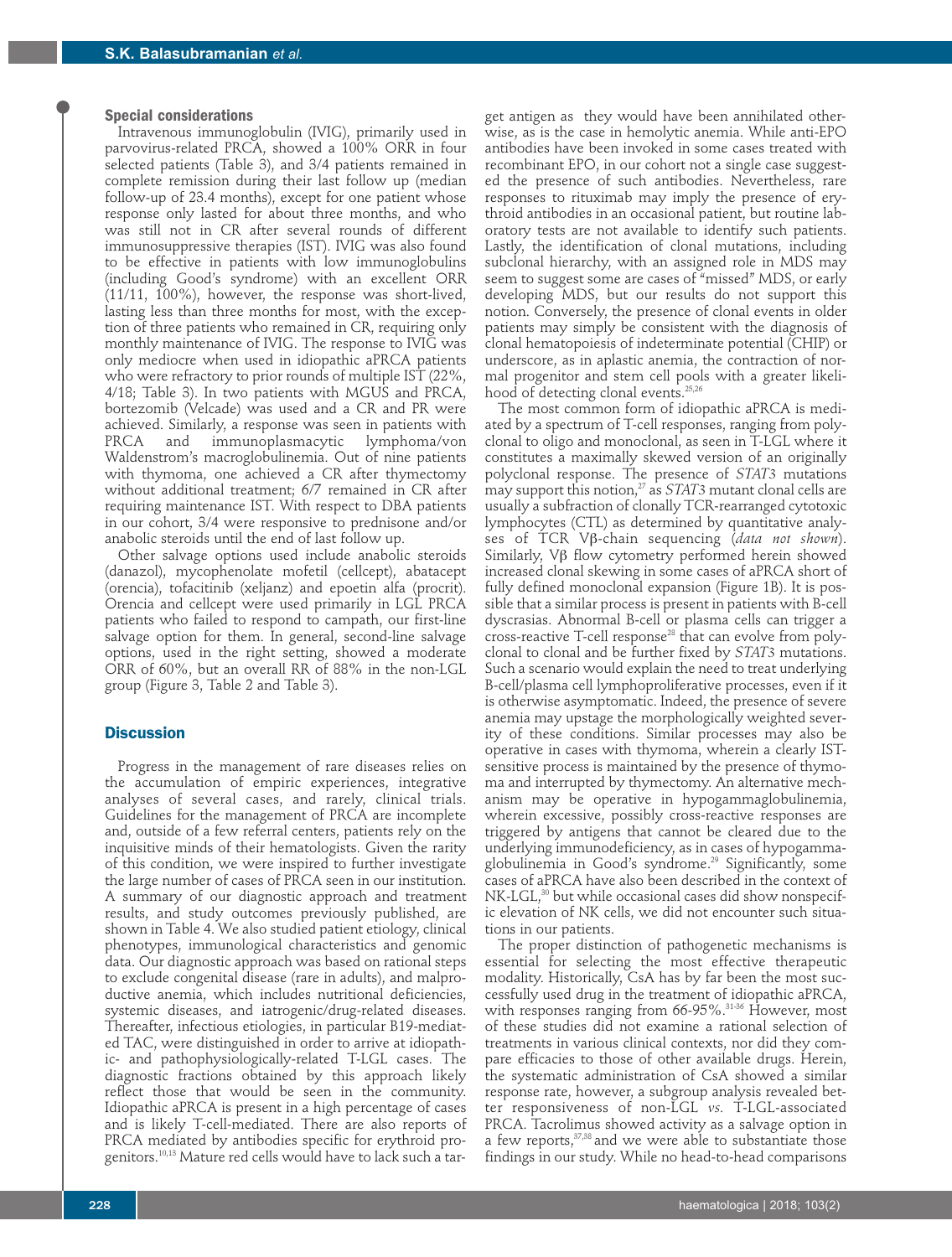#### **Special considerations**

Intravenous immunoglobulin (IVIG), primarily used in parvovirus-related PRCA, showed a 100% ORR in four selected patients (Table 3), and 3/4 patients remained in complete remission during their last follow up (median follow-up of 23.4 months), except for one patient whose response only lasted for about three months, and who was still not in CR after several rounds of different immunosuppressive therapies (IST). IVIG was also found to be effective in patients with low immunoglobulins (including Good's syndrome) with an excellent ORR (11/11, 100%), however, the response was short-lived, lasting less than three months for most, with the exception of three patients who remained in CR, requiring only monthly maintenance of IVIG. The response to IVIG was only mediocre when used in idiopathic aPRCA patients who were refractory to prior rounds of multiple IST (22%, 4/18; Table 3). In two patients with MGUS and PRCA, bortezomib (Velcade) was used and a CR and PR were achieved. Similarly, a response was seen in patients with immunoplasmacytic lymphoma/von Waldenstrom's macroglobulinemia. Out of nine patients with thymoma, one achieved a CR after thymectomy without additional treatment; 6/7 remained in CR after requiring maintenance IST. With respect to DBA patients in our cohort, 3/4 were responsive to prednisone and/or anabolic steroids until the end of last follow up.

Other salvage options used include anabolic steroids (danazol), mycophenolate mofetil (cellcept), abatacept (orencia), tofacitinib (xeljanz) and epoetin alfa (procrit). Orencia and cellcept were used primarily in LGL PRCA patients who failed to respond to campath, our first-line salvage option for them. In general, second-line salvage options, used in the right setting, showed a moderate ORR of 60%, but an overall RR of 88% in the non-LGL group (Figure 3, Table 2 and Table 3).

## **Discussion**

Progress in the management of rare diseases relies on the accumulation of empiric experiences, integrative analyses of several cases, and rarely, clinical trials. Guidelines for the management of PRCA are incomplete and, outside of a few referral centers, patients rely on the inquisitive minds of their hematologists. Given the rarity of this condition, we were inspired to further investigate the large number of cases of PRCA seen in our institution. A summary of our diagnostic approach and treatment results, and study outcomes previously published, are shown in Table 4. We also studied patient etiology, clinical phenotypes, immunological characteristics and genomic data. Our diagnostic approach was based on rational steps to exclude congenital disease (rare in adults), and malproductive anemia, which includes nutritional deficiencies, systemic diseases, and iatrogenic/drug-related diseases. Thereafter, infectious etiologies, in particular B19-mediated TAC, were distinguished in order to arrive at idiopathic- and pathophysiologically-related T-LGL cases. The diagnostic fractions obtained by this approach likely reflect those that would be seen in the community. Idiopathic aPRCA is present in a high percentage of cases and is likely T-cell-mediated. There are also reports of PRCA mediated by antibodies specific for erythroid progenitors.10,13 Mature red cells would have to lack such a tar-

get antigen as they would have been annihilated otherwise, as is the case in hemolytic anemia. While anti-EPO antibodies have been invoked in some cases treated with recombinant EPO, in our cohort not a single case suggested the presence of such antibodies. Nevertheless, rare responses to rituximab may imply the presence of erythroid antibodies in an occasional patient, but routine laboratory tests are not available to identify such patients. Lastly, the identification of clonal mutations, including subclonal hierarchy, with an assigned role in MDS may seem to suggest some are cases of "missed" MDS, or early developing MDS, but our results do not support this notion. Conversely, the presence of clonal events in older patients may simply be consistent with the diagnosis of clonal hematopoiesis of indeterminate potential (CHIP) or underscore, as in aplastic anemia, the contraction of normal progenitor and stem cell pools with a greater likelihood of detecting clonal events.25,26

The most common form of idiopathic aPRCA is mediated by a spectrum of T-cell responses, ranging from polyclonal to oligo and monoclonal, as seen in T-LGL where it constitutes a maximally skewed version of an originally polyclonal response. The presence of *STAT3* mutations may support this notion,<sup>27</sup> as *STAT3* mutant clonal cells are usually a subfraction of clonally TCR-rearranged cytotoxic lymphocytes (CTL) as determined by quantitative analyses of TCR Vβ-chain sequencing (*data not shown*). Similarly, Vβ flow cytometry performed herein showed increased clonal skewing in some cases of aPRCA short of fully defined monoclonal expansion (Figure 1B). It is possible that a similar process is present in patients with B-cell dyscrasias. Abnormal B-cell or plasma cells can trigger a cross-reactive T-cell response28 that can evolve from polyclonal to clonal and be further fixed by *STAT3* mutations. Such a scenario would explain the need to treat underlying B-cell/plasma cell lymphoproliferative processes, even if it is otherwise asymptomatic. Indeed, the presence of severe anemia may upstage the morphologically weighted severity of these conditions. Similar processes may also be operative in cases with thymoma, wherein a clearly ISTsensitive process is maintained by the presence of thymoma and interrupted by thymectomy. An alternative mechanism may be operative in hypogammaglobulinemia, wherein excessive, possibly cross-reactive responses are triggered by antigens that cannot be cleared due to the underlying immunodeficiency, as in cases of hypogammaglobulinemia in Good's syndrome.<sup>29</sup> Significantly, some cases of aPRCA have also been described in the context of NK-LGL,<sup>30</sup> but while occasional cases did show nonspecific elevation of NK cells, we did not encounter such situations in our patients.

The proper distinction of pathogenetic mechanisms is essential for selecting the most effective therapeutic modality. Historically, CsA has by far been the most successfully used drug in the treatment of idiopathic aPRCA, with responses ranging from 66-95%.<sup>31-36</sup> However, most of these studies did not examine a rational selection of treatments in various clinical contexts, nor did they compare efficacies to those of other available drugs. Herein, the systematic administration of CsA showed a similar response rate, however, a subgroup analysis revealed better responsiveness of non-LGL *vs.* T-LGL-associated PRCA. Tacrolimus showed activity as a salvage option in a few reports, $37,38$  and we were able to substantiate those findings in our study. While no head-to-head comparisons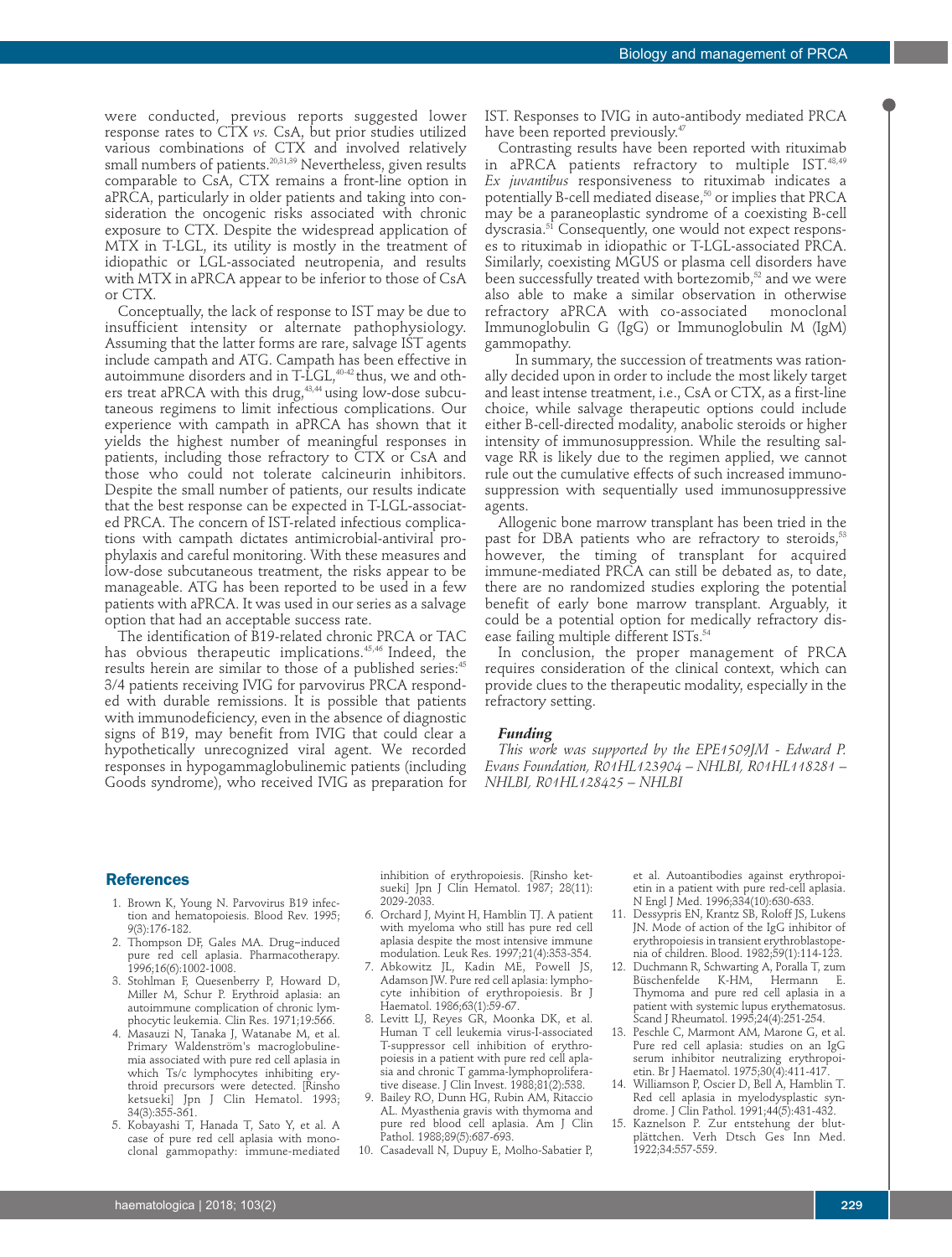were conducted, previous reports suggested lower response rates to CTX *vs.* CsA, but prior studies utilized various combinations of CTX and involved relatively small numbers of patients.<sup>20,31,39</sup> Nevertheless, given results comparable to CsA, CTX remains a front-line option in aPRCA, particularly in older patients and taking into consideration the oncogenic risks associated with chronic exposure to CTX. Despite the widespread application of MTX in T-LGL, its utility is mostly in the treatment of idiopathic or LGL-associated neutropenia, and results with MTX in aPRCA appear to be inferior to those of CsA or CTX.

Conceptually, the lack of response to IST may be due to insufficient intensity or alternate pathophysiology. Assuming that the latter forms are rare, salvage IST agents include campath and ATG. Campath has been effective in autoimmune disorders and in  $T$ -LGL,  $40-42$  thus, we and others treat aPRCA with this drug,<sup>43,44</sup> using low-dose subcutaneous regimens to limit infectious complications. Our experience with campath in aPRCA has shown that it yields the highest number of meaningful responses in patients, including those refractory to CTX or CsA and those who could not tolerate calcineurin inhibitors. Despite the small number of patients, our results indicate that the best response can be expected in T-LGL-associated PRCA. The concern of IST-related infectious complications with campath dictates antimicrobial-antiviral prophylaxis and careful monitoring. With these measures and low-dose subcutaneous treatment, the risks appear to be manageable. ATG has been reported to be used in a few patients with aPRCA. It was used in our series as a salvage option that had an acceptable success rate.

The identification of B19-related chronic PRCA or TAC has obvious therapeutic implications.45,46 Indeed, the results herein are similar to those of a published series:<sup>45</sup> 3/4 patients receiving IVIG for parvovirus PRCA responded with durable remissions. It is possible that patients with immunodeficiency, even in the absence of diagnostic signs of B19, may benefit from IVIG that could clear a hypothetically unrecognized viral agent. We recorded responses in hypogammaglobulinemic patients (including Goods syndrome), who received IVIG as preparation for IST. Responses to IVIG in auto-antibody mediated PRCA have been reported previously.<sup>47</sup>

Contrasting results have been reported with rituximab in aPRCA patients refractory to multiple IST.48,49 *Ex juvantibus* responsiveness to rituximab indicates a potentially B-cell mediated disease,<sup>50</sup> or implies that PRCA may be a paraneoplastic syndrome of a coexisting B-cell dyscrasia.<sup>51</sup> Consequently, one would not expect responses to rituximab in idiopathic or T-LGL-associated PRCA. Similarly, coexisting MGUS or plasma cell disorders have been successfully treated with bortezomib,<sup>52</sup> and we were also able to make a similar observation in otherwise refractory aPRCA with co-associated Immunoglobulin G (IgG) or Immunoglobulin M (IgM) gammopathy.

In summary, the succession of treatments was rationally decided upon in order to include the most likely target and least intense treatment, i.e., CsA or CTX, as a first-line choice, while salvage therapeutic options could include either B-cell-directed modality, anabolic steroids or higher intensity of immunosuppression. While the resulting salvage RR is likely due to the regimen applied, we cannot rule out the cumulative effects of such increased immunosuppression with sequentially used immunosuppressive agents.

Allogenic bone marrow transplant has been tried in the past for DBA patients who are refractory to steroids,<sup>53</sup> however, the timing of transplant for acquired immune-mediated PRCA can still be debated as, to date, there are no randomized studies exploring the potential benefit of early bone marrow transplant. Arguably, it could be a potential option for medically refractory disease failing multiple different ISTs.<sup>54</sup>

In conclusion, the proper management of PRCA requires consideration of the clinical context, which can provide clues to the therapeutic modality, especially in the refractory setting.

#### *Funding*

*This work was supported by the EPE1509JM - Edward P. Evans Foundation, R01HL123904 – NHLBI, R01HL118281 – NHLBI, R01HL128425 – NHLBI*

#### **References**

- 1. Brown K, Young N. Parvovirus B19 infection and hematopoiesis. Blood Rev. 1995; 9(3):176-182.
- 2. Thompson DF, Gales MA. Drug‐induced pure red cell aplasia. Pharmacotherapy. 1996;16(6):1002-1008.
- 3. Stohlman F, Quesenberry P, Howard D, Miller M, Schur P. Erythroid aplasia: an autoimmune complication of chronic lymphocytic leukemia. Clin Res. 1971;19:566.
- 4. Masauzi N, Tanaka J, Watanabe M, et al. Primary Waldenström's macroglobulinemia associated with pure red cell aplasia in which Ts/c lymphocytes inhibiting erythroid precursors were detected. [Rinsho ketsueki] Jpn J Clin Hematol. 1993; 34(3):355-361.
- 5. Kobayashi T, Hanada T, Sato Y, et al. A case of pure red cell aplasia with monoclonal gammopathy: immune-mediated

inhibition of erythropoiesis. [Rinsho ketsueki] Jpn J Clin Hematol. 1987; 28(11): 2029-2033.

- 6. Orchard J, Myint H, Hamblin TJ. A patient with myeloma who still has pure red cell aplasia despite the most intensive immune modulation. Leuk Res. 1997;21(4):353-354.
- 7. Abkowitz JL, Kadin ME, Powell JS, Adamson JW. Pure red cell aplasia: lymphocyte inhibition of erythropoiesis. Br J Haematol. 1986;63(1):59-67.
- 8. Levitt LJ, Reyes GR, Moonka DK, et al. Human T cell leukemia virus-I-associated T-suppressor cell inhibition of erythropoiesis in a patient with pure red cell aplasia and chronic T gamma-lymphoproliferative disease. J Clin Invest. 1988;81(2):538.
- 9. Bailey RO, Dunn HG, Rubin AM, Ritaccio AL. Myasthenia gravis with thymoma and pure red blood cell aplasia. Am J Clin Pathol. 1988;89(5):687-693.
- 10. Casadevall N, Dupuy E, Molho-Sabatier P,

et al. Autoantibodies against erythropoietin in a patient with pure red-cell aplasia. N Engl J Med. 1996;334(10):630-633.

- 11. Dessypris EN, Krantz SB, Roloff JS, Lukens JN. Mode of action of the IgG inhibitor of erythropoiesis in transient erythroblastopenia of children. Blood. 1982;59(1):114-123.
- 12. Duchmann R, Schwarting A, Poralla T, zum<br>Büschenfelde K-HM, Hermann E. Büschenfelde Thymoma and pure red cell aplasia in a patient with systemic lupus erythematosus. Scand J Rheumatol. 1995;24(4):251-254.
- 13. Peschle C, Marmont AM, Marone G, et al. Pure red cell aplasia: studies on an IgG serum inhibitor neutralizing erythropoietin. Br J Haematol. 1975;30(4):411-417.
- 14. Williamson P, Oscier D, Bell A, Hamblin T. Red cell aplasia in myelodysplastic syndrome. J Clin Pathol. 1991;44(5):431-432.
- 15. Kaznelson P. Zur entstehung der blutplättchen. Verh Dtsch Ges Inn Med. 1922;34:557-559.